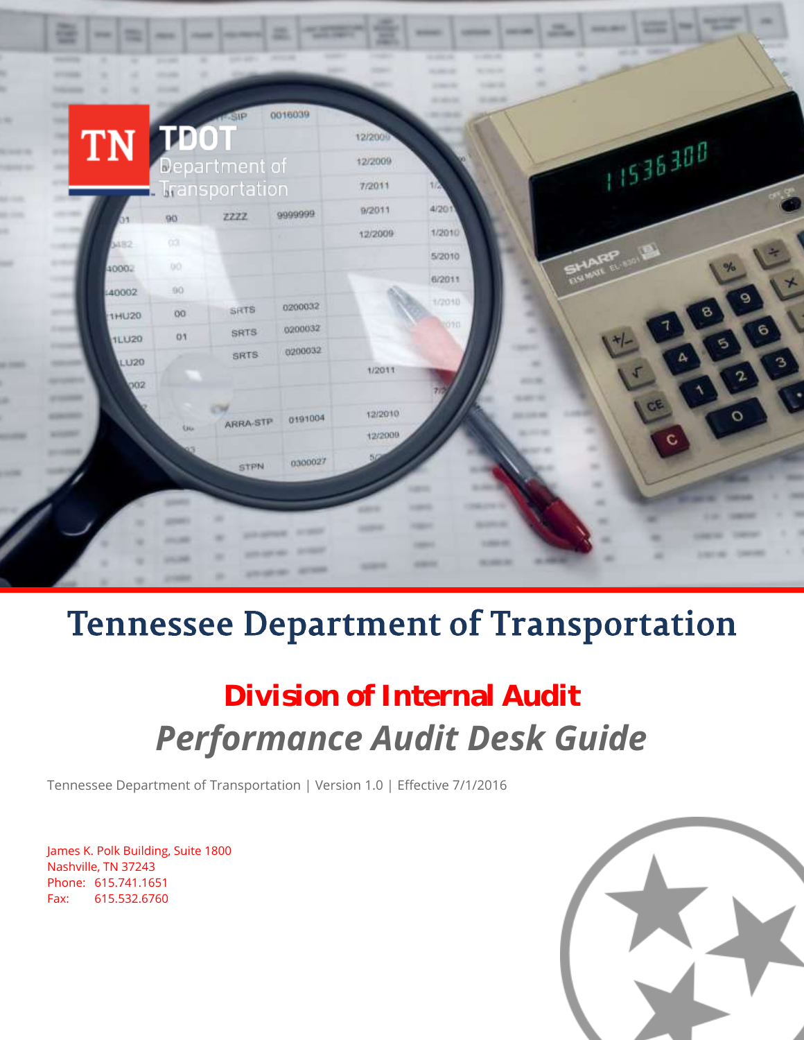

# **Tennessee Department of Transportation**

# **Division of Internal Audit** *Performance Audit Desk Guide*

Tennessee Department of Transportation | Version 1.0 | Effective 7/1/2016

James K. Polk Building, Suite 1800 Nashville, TN 37243 Phone: 615.741.1651 Fax: 615.532.6760

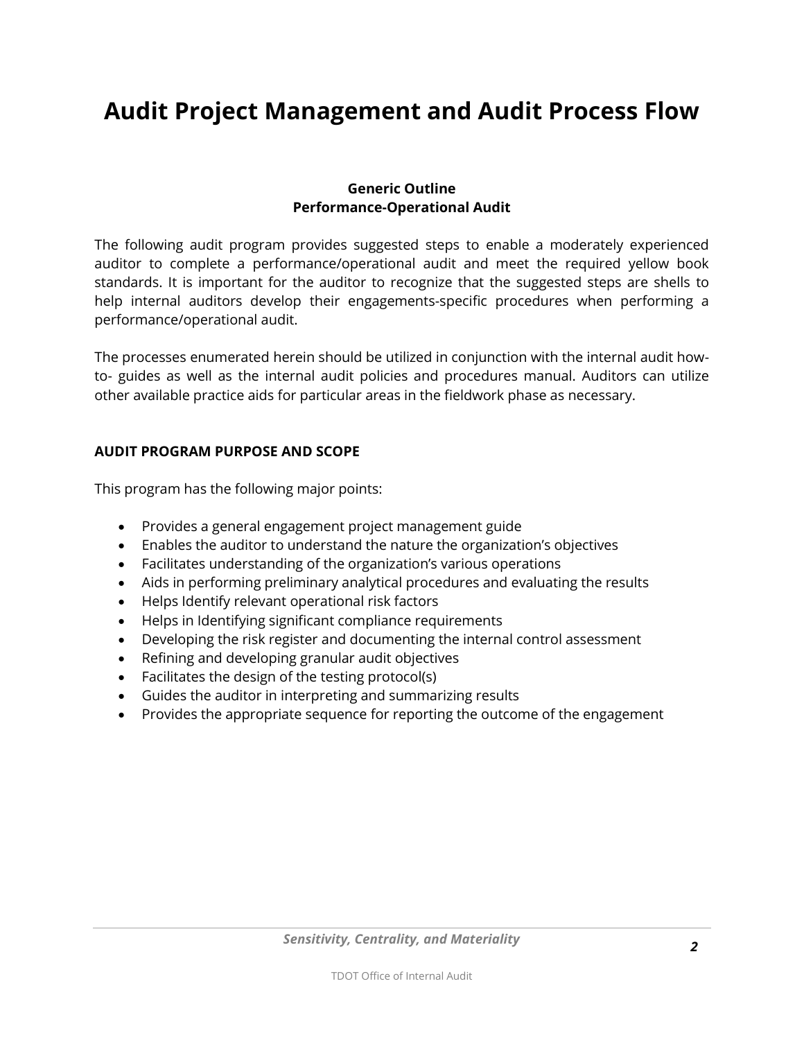# **Audit Project Management and Audit Process Flow**

#### **Generic Outline Performance-Operational Audit**

The following audit program provides suggested steps to enable a moderately experienced auditor to complete a performance/operational audit and meet the required yellow book standards. It is important for the auditor to recognize that the suggested steps are shells to help internal auditors develop their engagements-specific procedures when performing a performance/operational audit.

The processes enumerated herein should be utilized in conjunction with the internal audit howto- guides as well as the internal audit policies and procedures manual. Auditors can utilize other available practice aids for particular areas in the fieldwork phase as necessary.

### **AUDIT PROGRAM PURPOSE AND SCOPE**

This program has the following major points:

- Provides a general engagement project management guide
- Enables the auditor to understand the nature the organization's objectives
- Facilitates understanding of the organization's various operations
- Aids in performing preliminary analytical procedures and evaluating the results
- Helps Identify relevant operational risk factors
- Helps in Identifying significant compliance requirements
- Developing the risk register and documenting the internal control assessment
- Refining and developing granular audit objectives
- Facilitates the design of the testing protocol(s)
- Guides the auditor in interpreting and summarizing results
- Provides the appropriate sequence for reporting the outcome of the engagement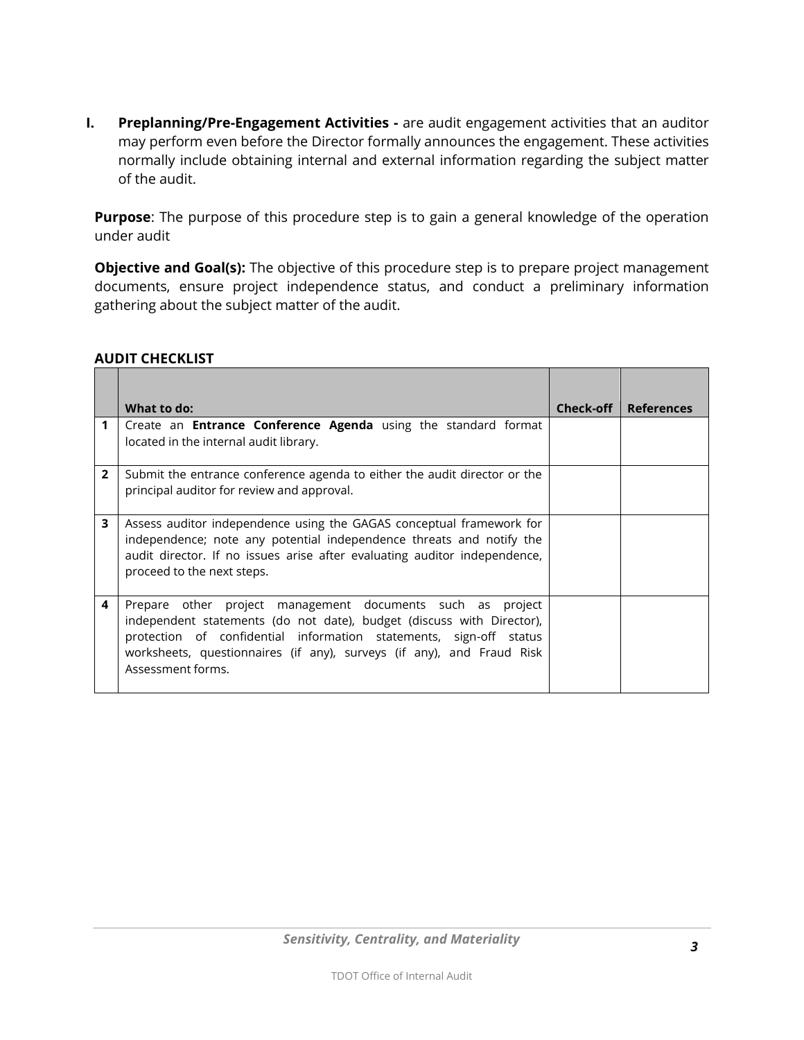**I. Preplanning/Pre-Engagement Activities -** are audit engagement activities that an auditor may perform even before the Director formally announces the engagement. These activities normally include obtaining internal and external information regarding the subject matter of the audit.

**Purpose**: The purpose of this procedure step is to gain a general knowledge of the operation under audit

**Objective and Goal(s):** The objective of this procedure step is to prepare project management documents, ensure project independence status, and conduct a preliminary information gathering about the subject matter of the audit.

#### **AUDIT CHECKLIST**

|                | What to do:                                                                                                                                                                                                                                                                                                | Check-off | <b>References</b> |
|----------------|------------------------------------------------------------------------------------------------------------------------------------------------------------------------------------------------------------------------------------------------------------------------------------------------------------|-----------|-------------------|
|                | Create an <b>Entrance Conference Agenda</b> using the standard format<br>located in the internal audit library.                                                                                                                                                                                            |           |                   |
| $\overline{2}$ | Submit the entrance conference agenda to either the audit director or the<br>principal auditor for review and approval.                                                                                                                                                                                    |           |                   |
| 3              | Assess auditor independence using the GAGAS conceptual framework for<br>independence; note any potential independence threats and notify the<br>audit director. If no issues arise after evaluating auditor independence,<br>proceed to the next steps.                                                    |           |                   |
| 4              | other project management documents such as project<br>Prepare<br>independent statements (do not date), budget (discuss with Director),<br>protection of confidential information statements, sign-off status<br>worksheets, questionnaires (if any), surveys (if any), and Fraud Risk<br>Assessment forms. |           |                   |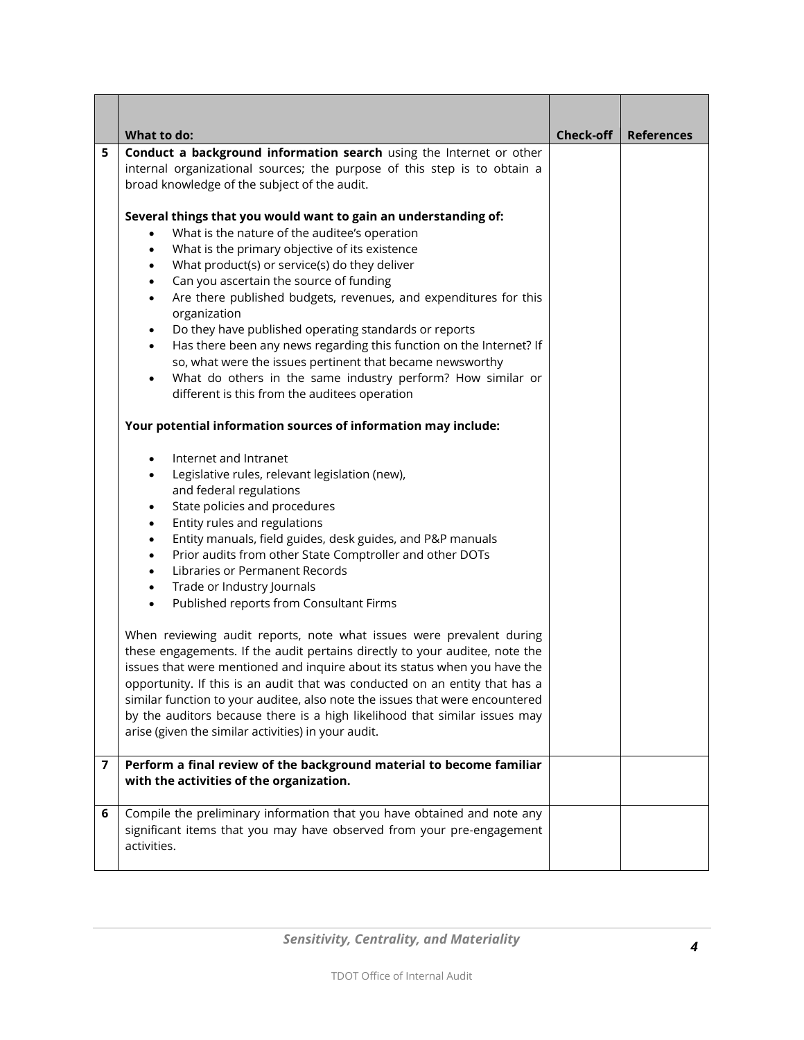|   | What to do:                                                                                                                                                                                                                                                                                                                                                                                                                                                                                                                                                                                                                                                                                                                                                             | <b>Check-off</b> | <b>References</b> |
|---|-------------------------------------------------------------------------------------------------------------------------------------------------------------------------------------------------------------------------------------------------------------------------------------------------------------------------------------------------------------------------------------------------------------------------------------------------------------------------------------------------------------------------------------------------------------------------------------------------------------------------------------------------------------------------------------------------------------------------------------------------------------------------|------------------|-------------------|
| 5 | Conduct a background information search using the Internet or other<br>internal organizational sources; the purpose of this step is to obtain a<br>broad knowledge of the subject of the audit.                                                                                                                                                                                                                                                                                                                                                                                                                                                                                                                                                                         |                  |                   |
|   | Several things that you would want to gain an understanding of:<br>What is the nature of the auditee's operation<br>$\bullet$<br>What is the primary objective of its existence<br>$\bullet$<br>What product(s) or service(s) do they deliver<br>$\bullet$<br>Can you ascertain the source of funding<br>$\bullet$<br>Are there published budgets, revenues, and expenditures for this<br>$\bullet$<br>organization<br>Do they have published operating standards or reports<br>$\bullet$<br>Has there been any news regarding this function on the Internet? If<br>$\bullet$<br>so, what were the issues pertinent that became newsworthy<br>What do others in the same industry perform? How similar or<br>$\bullet$<br>different is this from the auditees operation |                  |                   |
|   | Your potential information sources of information may include:<br>Internet and Intranet<br>$\bullet$<br>Legislative rules, relevant legislation (new),<br>$\bullet$<br>and federal regulations<br>State policies and procedures<br>$\bullet$<br>Entity rules and regulations<br>$\bullet$<br>Entity manuals, field guides, desk guides, and P&P manuals<br>$\bullet$<br>Prior audits from other State Comptroller and other DOTs<br>$\bullet$<br>Libraries or Permanent Records<br>$\bullet$<br>Trade or Industry Journals<br>$\bullet$<br>Published reports from Consultant Firms<br>$\bullet$                                                                                                                                                                         |                  |                   |
|   | When reviewing audit reports, note what issues were prevalent during<br>these engagements. If the audit pertains directly to your auditee, note the<br>issues that were mentioned and inquire about its status when you have the<br>opportunity. If this is an audit that was conducted on an entity that has a<br>similar function to your auditee, also note the issues that were encountered<br>by the auditors because there is a high likelihood that similar issues may<br>arise (given the similar activities) in your audit.                                                                                                                                                                                                                                    |                  |                   |
| 7 | Perform a final review of the background material to become familiar<br>with the activities of the organization.                                                                                                                                                                                                                                                                                                                                                                                                                                                                                                                                                                                                                                                        |                  |                   |
| 6 | Compile the preliminary information that you have obtained and note any<br>significant items that you may have observed from your pre-engagement<br>activities.                                                                                                                                                                                                                                                                                                                                                                                                                                                                                                                                                                                                         |                  |                   |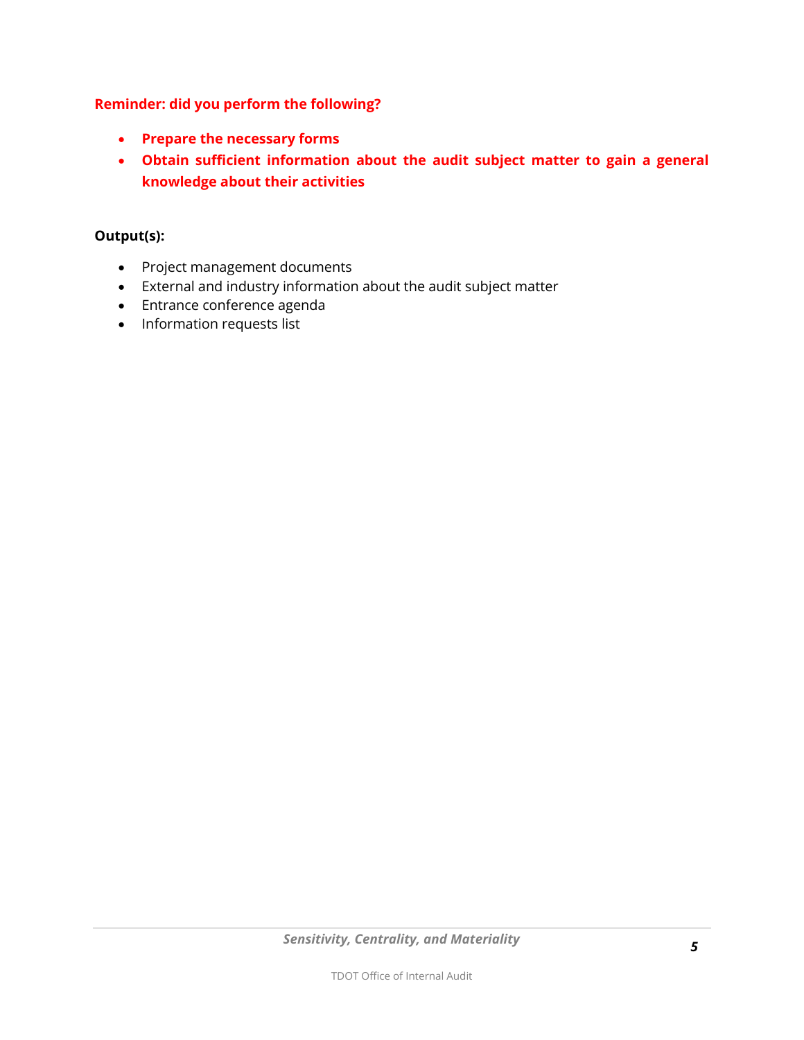# **Reminder: did you perform the following?**

- **Prepare the necessary forms**
- **Obtain sufficient information about the audit subject matter to gain a general knowledge about their activities**

# **Output(s):**

- Project management documents
- External and industry information about the audit subject matter
- Entrance conference agenda
- Information requests list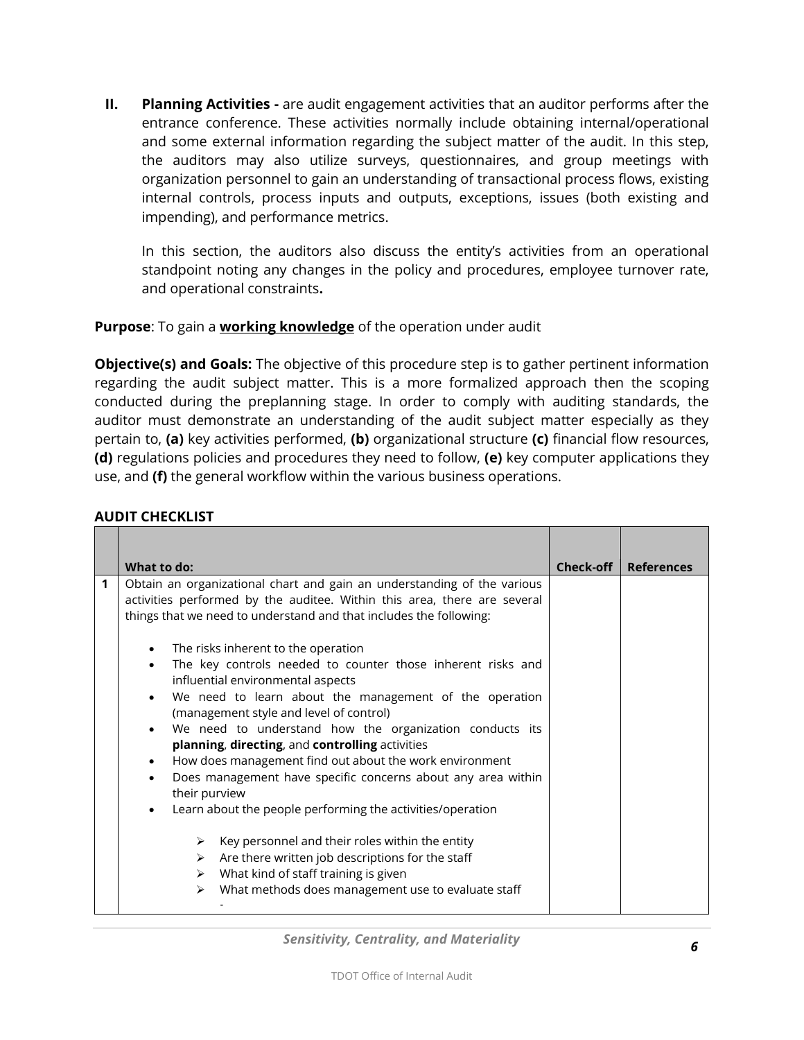**II. Planning Activities -** are audit engagement activities that an auditor performs after the entrance conference. These activities normally include obtaining internal/operational and some external information regarding the subject matter of the audit. In this step, the auditors may also utilize surveys, questionnaires, and group meetings with organization personnel to gain an understanding of transactional process flows, existing internal controls, process inputs and outputs, exceptions, issues (both existing and impending), and performance metrics.

In this section, the auditors also discuss the entity's activities from an operational standpoint noting any changes in the policy and procedures, employee turnover rate, and operational constraints**.**

### **Purpose**: To gain a **working knowledge** of the operation under audit

**Objective(s) and Goals:** The objective of this procedure step is to gather pertinent information regarding the audit subject matter. This is a more formalized approach then the scoping conducted during the preplanning stage. In order to comply with auditing standards, the auditor must demonstrate an understanding of the audit subject matter especially as they pertain to, **(a)** key activities performed, **(b)** organizational structure **(c)** financial flow resources, **(d)** regulations policies and procedures they need to follow, **(e)** key computer applications they use, and **(f)** the general workflow within the various business operations.

|   | What to do:                                                                                                                                                                                                                                                                                        | Check-off | <b>References</b> |
|---|----------------------------------------------------------------------------------------------------------------------------------------------------------------------------------------------------------------------------------------------------------------------------------------------------|-----------|-------------------|
| 1 | Obtain an organizational chart and gain an understanding of the various<br>activities performed by the auditee. Within this area, there are several<br>things that we need to understand and that includes the following:<br>The risks inherent to the operation                                   |           |                   |
|   | The key controls needed to counter those inherent risks and<br>$\bullet$<br>influential environmental aspects<br>We need to learn about the management of the operation<br>(management style and level of control)                                                                                 |           |                   |
|   | We need to understand how the organization conducts its<br>planning, directing, and controlling activities<br>How does management find out about the work environment<br>$\bullet$<br>Does management have specific concerns about any area within<br>$\bullet$<br>their purview                   |           |                   |
|   | Learn about the people performing the activities/operation<br>Key personnel and their roles within the entity<br>$\triangleright$<br>Are there written job descriptions for the staff<br>➤<br>What kind of staff training is given<br>➤<br>What methods does management use to evaluate staff<br>➤ |           |                   |

#### **AUDIT CHECKLIST**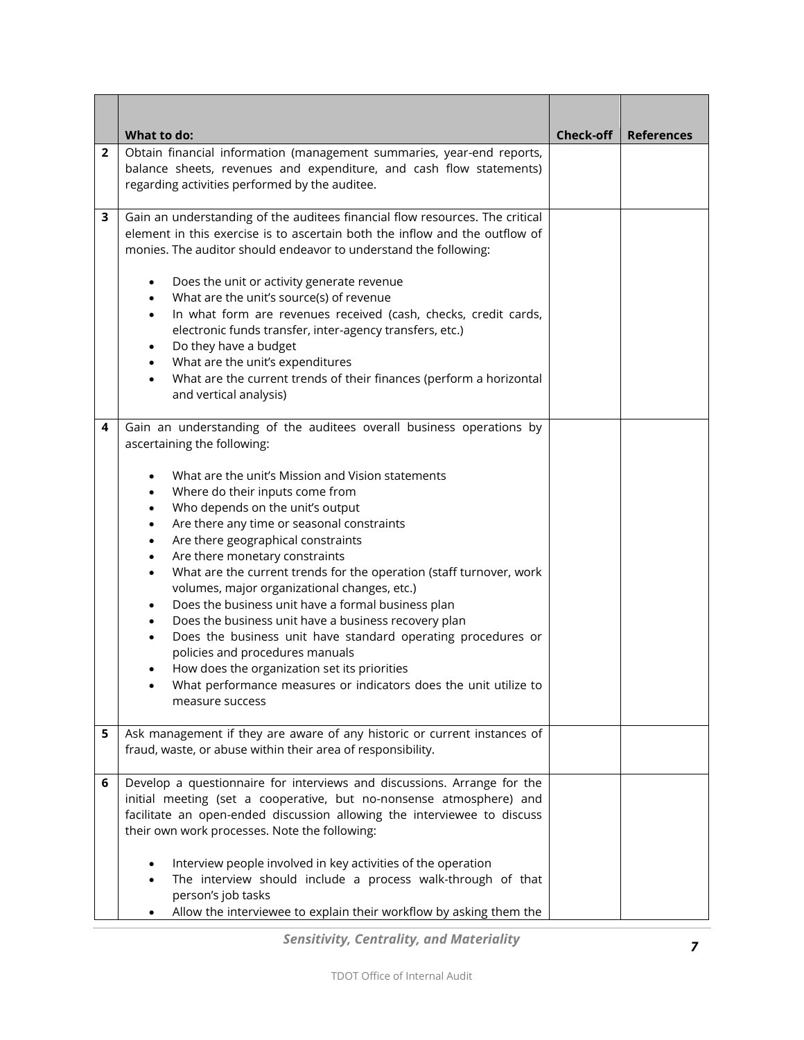|                | What to do:                                                                                                                                                                                                                                                                                                                                                                                                                                                                                                                                                                                                                                                                                                                                                                                                                                                                                                                                                            | <b>Check-off</b> | <b>References</b> |
|----------------|------------------------------------------------------------------------------------------------------------------------------------------------------------------------------------------------------------------------------------------------------------------------------------------------------------------------------------------------------------------------------------------------------------------------------------------------------------------------------------------------------------------------------------------------------------------------------------------------------------------------------------------------------------------------------------------------------------------------------------------------------------------------------------------------------------------------------------------------------------------------------------------------------------------------------------------------------------------------|------------------|-------------------|
| $\overline{2}$ | Obtain financial information (management summaries, year-end reports,<br>balance sheets, revenues and expenditure, and cash flow statements)<br>regarding activities performed by the auditee.                                                                                                                                                                                                                                                                                                                                                                                                                                                                                                                                                                                                                                                                                                                                                                         |                  |                   |
| 3              | Gain an understanding of the auditees financial flow resources. The critical<br>element in this exercise is to ascertain both the inflow and the outflow of<br>monies. The auditor should endeavor to understand the following:<br>Does the unit or activity generate revenue<br>$\bullet$<br>What are the unit's source(s) of revenue<br>$\bullet$<br>In what form are revenues received (cash, checks, credit cards,<br>$\bullet$<br>electronic funds transfer, inter-agency transfers, etc.)<br>Do they have a budget<br>$\bullet$<br>What are the unit's expenditures<br>$\bullet$<br>What are the current trends of their finances (perform a horizontal<br>and vertical analysis)                                                                                                                                                                                                                                                                                |                  |                   |
| 4              | Gain an understanding of the auditees overall business operations by<br>ascertaining the following:<br>What are the unit's Mission and Vision statements<br>$\bullet$<br>Where do their inputs come from<br>$\bullet$<br>Who depends on the unit's output<br>$\bullet$<br>Are there any time or seasonal constraints<br>$\bullet$<br>Are there geographical constraints<br>$\bullet$<br>Are there monetary constraints<br>$\bullet$<br>What are the current trends for the operation (staff turnover, work<br>$\bullet$<br>volumes, major organizational changes, etc.)<br>Does the business unit have a formal business plan<br>$\bullet$<br>Does the business unit have a business recovery plan<br>$\bullet$<br>Does the business unit have standard operating procedures or<br>$\bullet$<br>policies and procedures manuals<br>How does the organization set its priorities<br>What performance measures or indicators does the unit utilize to<br>measure success |                  |                   |
| 5              | Ask management if they are aware of any historic or current instances of<br>fraud, waste, or abuse within their area of responsibility.                                                                                                                                                                                                                                                                                                                                                                                                                                                                                                                                                                                                                                                                                                                                                                                                                                |                  |                   |
| 6              | Develop a questionnaire for interviews and discussions. Arrange for the<br>initial meeting (set a cooperative, but no-nonsense atmosphere) and<br>facilitate an open-ended discussion allowing the interviewee to discuss<br>their own work processes. Note the following:<br>Interview people involved in key activities of the operation<br>The interview should include a process walk-through of that<br>$\bullet$<br>person's job tasks<br>Allow the interviewee to explain their workflow by asking them the                                                                                                                                                                                                                                                                                                                                                                                                                                                     |                  |                   |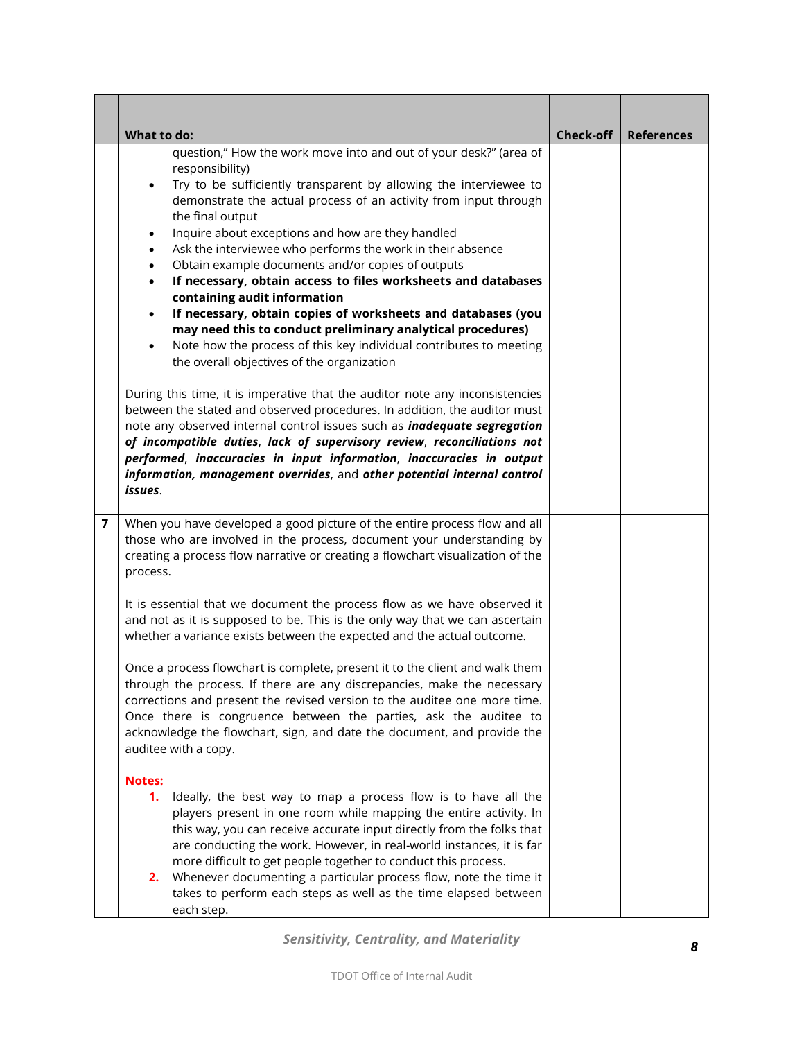|                | What to do:                                                                                                                                                                                                                                                                                                                                                                                                                                                                                                                                                                                                                                                                                                                                                                                                                                                                                                                                                                                                                                                                                                                                                                                                                                                                                                                                                       | <b>Check-off</b> | <b>References</b> |
|----------------|-------------------------------------------------------------------------------------------------------------------------------------------------------------------------------------------------------------------------------------------------------------------------------------------------------------------------------------------------------------------------------------------------------------------------------------------------------------------------------------------------------------------------------------------------------------------------------------------------------------------------------------------------------------------------------------------------------------------------------------------------------------------------------------------------------------------------------------------------------------------------------------------------------------------------------------------------------------------------------------------------------------------------------------------------------------------------------------------------------------------------------------------------------------------------------------------------------------------------------------------------------------------------------------------------------------------------------------------------------------------|------------------|-------------------|
|                | question," How the work move into and out of your desk?" (area of<br>responsibility)<br>Try to be sufficiently transparent by allowing the interviewee to<br>$\bullet$<br>demonstrate the actual process of an activity from input through<br>the final output<br>Inquire about exceptions and how are they handled<br>$\bullet$<br>Ask the interviewee who performs the work in their absence<br>$\bullet$<br>Obtain example documents and/or copies of outputs<br>$\bullet$<br>If necessary, obtain access to files worksheets and databases<br>$\bullet$<br>containing audit information<br>If necessary, obtain copies of worksheets and databases (you<br>$\bullet$<br>may need this to conduct preliminary analytical procedures)<br>Note how the process of this key individual contributes to meeting<br>$\bullet$<br>the overall objectives of the organization<br>During this time, it is imperative that the auditor note any inconsistencies<br>between the stated and observed procedures. In addition, the auditor must<br>note any observed internal control issues such as <i>inadequate segregation</i><br>of incompatible duties, lack of supervisory review, reconciliations not<br>performed, inaccuracies in input information, inaccuracies in output<br>information, management overrides, and other potential internal control<br>issues. |                  |                   |
| $\overline{7}$ | When you have developed a good picture of the entire process flow and all<br>those who are involved in the process, document your understanding by<br>creating a process flow narrative or creating a flowchart visualization of the<br>process.<br>It is essential that we document the process flow as we have observed it<br>and not as it is supposed to be. This is the only way that we can ascertain<br>whether a variance exists between the expected and the actual outcome.<br>Once a process flowchart is complete, present it to the client and walk them<br>through the process. If there are any discrepancies, make the necessary<br>corrections and present the revised version to the auditee one more time.<br>Once there is congruence between the parties, ask the auditee to<br>acknowledge the flowchart, sign, and date the document, and provide the<br>auditee with a copy.<br><b>Notes:</b><br>Ideally, the best way to map a process flow is to have all the<br>1.<br>players present in one room while mapping the entire activity. In<br>this way, you can receive accurate input directly from the folks that<br>are conducting the work. However, in real-world instances, it is far                                                                                                                                               |                  |                   |
|                | more difficult to get people together to conduct this process.<br>2. Whenever documenting a particular process flow, note the time it<br>takes to perform each steps as well as the time elapsed between<br>each step.                                                                                                                                                                                                                                                                                                                                                                                                                                                                                                                                                                                                                                                                                                                                                                                                                                                                                                                                                                                                                                                                                                                                            |                  |                   |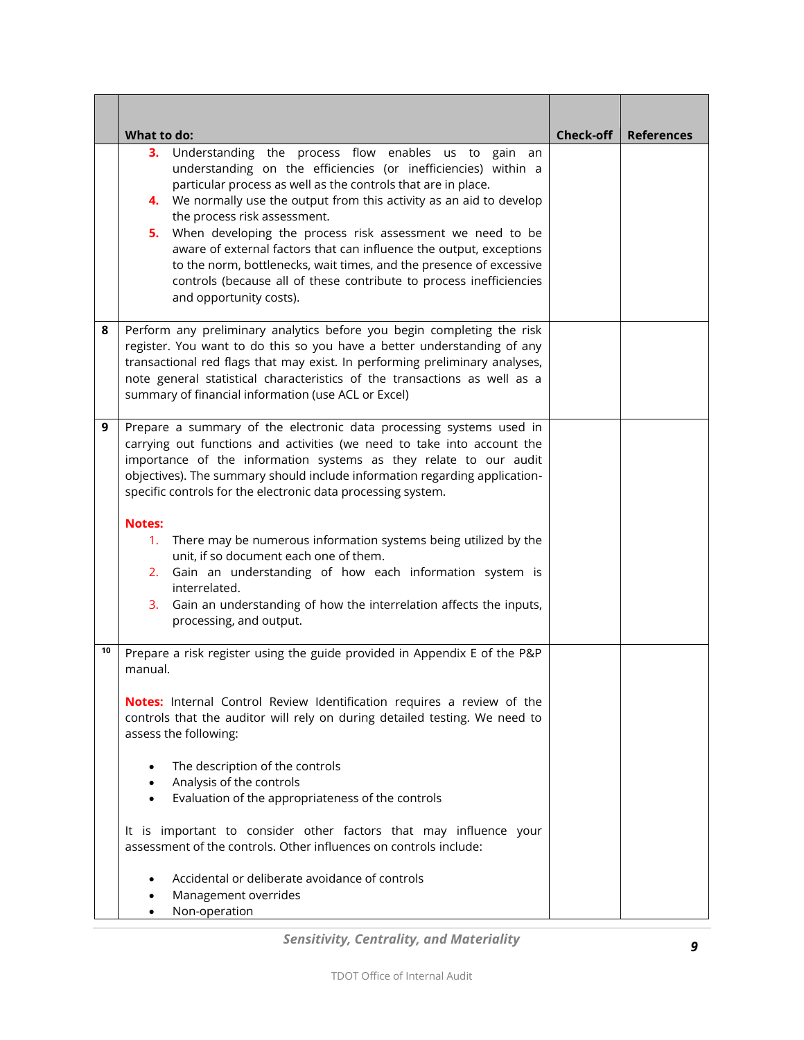|    | What to do:<br>3. Understanding the process flow enables us to gain an<br>understanding on the efficiencies (or inefficiencies) within a<br>particular process as well as the controls that are in place.<br>4. We normally use the output from this activity as an aid to develop<br>the process risk assessment.<br>5. When developing the process risk assessment we need to be<br>aware of external factors that can influence the output, exceptions<br>to the norm, bottlenecks, wait times, and the presence of excessive<br>controls (because all of these contribute to process inefficiencies                                                                                  | <b>Check-off</b> | <b>References</b> |
|----|------------------------------------------------------------------------------------------------------------------------------------------------------------------------------------------------------------------------------------------------------------------------------------------------------------------------------------------------------------------------------------------------------------------------------------------------------------------------------------------------------------------------------------------------------------------------------------------------------------------------------------------------------------------------------------------|------------------|-------------------|
| 8  | and opportunity costs).<br>Perform any preliminary analytics before you begin completing the risk<br>register. You want to do this so you have a better understanding of any<br>transactional red flags that may exist. In performing preliminary analyses,<br>note general statistical characteristics of the transactions as well as a<br>summary of financial information (use ACL or Excel)                                                                                                                                                                                                                                                                                          |                  |                   |
| 9  | Prepare a summary of the electronic data processing systems used in<br>carrying out functions and activities (we need to take into account the<br>importance of the information systems as they relate to our audit<br>objectives). The summary should include information regarding application-<br>specific controls for the electronic data processing system.<br><b>Notes:</b><br>1. There may be numerous information systems being utilized by the<br>unit, if so document each one of them.<br>2. Gain an understanding of how each information system is<br>interrelated.<br>Gain an understanding of how the interrelation affects the inputs,<br>3.<br>processing, and output. |                  |                   |
| 10 | Prepare a risk register using the guide provided in Appendix E of the P&P<br>manual.<br>Notes: Internal Control Review Identification requires a review of the<br>controls that the auditor will rely on during detailed testing. We need to<br>assess the following:<br>The description of the controls<br>$\bullet$<br>Analysis of the controls<br>$\bullet$<br>Evaluation of the appropriateness of the controls<br>$\bullet$<br>It is important to consider other factors that may influence your<br>assessment of the controls. Other influences on controls include:<br>Accidental or deliberate avoidance of controls<br>Management overrides<br>Non-operation                    |                  |                   |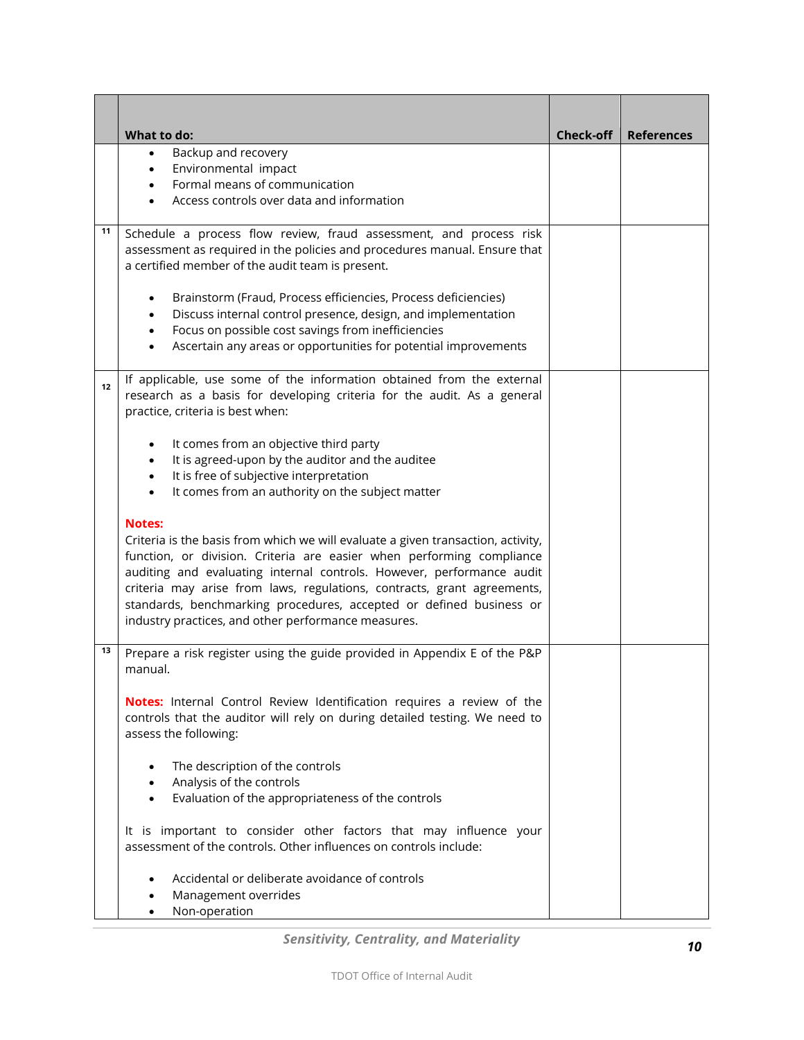|    | What to do:                                                                                                                                                                                                                                                                                                                                                                                                                                                  | <b>Check-off</b> | <b>References</b> |
|----|--------------------------------------------------------------------------------------------------------------------------------------------------------------------------------------------------------------------------------------------------------------------------------------------------------------------------------------------------------------------------------------------------------------------------------------------------------------|------------------|-------------------|
|    | Backup and recovery<br>$\bullet$<br>Environmental impact<br>٠<br>Formal means of communication<br>$\bullet$<br>Access controls over data and information                                                                                                                                                                                                                                                                                                     |                  |                   |
| 11 | Schedule a process flow review, fraud assessment, and process risk<br>assessment as required in the policies and procedures manual. Ensure that<br>a certified member of the audit team is present.                                                                                                                                                                                                                                                          |                  |                   |
|    | Brainstorm (Fraud, Process efficiencies, Process deficiencies)<br>$\bullet$<br>Discuss internal control presence, design, and implementation<br>$\bullet$<br>Focus on possible cost savings from inefficiencies<br>$\bullet$<br>Ascertain any areas or opportunities for potential improvements                                                                                                                                                              |                  |                   |
| 12 | If applicable, use some of the information obtained from the external<br>research as a basis for developing criteria for the audit. As a general<br>practice, criteria is best when:                                                                                                                                                                                                                                                                         |                  |                   |
|    | It comes from an objective third party<br>$\bullet$<br>It is agreed-upon by the auditor and the auditee<br>$\bullet$<br>It is free of subjective interpretation<br>$\bullet$<br>It comes from an authority on the subject matter<br>$\bullet$                                                                                                                                                                                                                |                  |                   |
|    | <b>Notes:</b><br>Criteria is the basis from which we will evaluate a given transaction, activity,<br>function, or division. Criteria are easier when performing compliance<br>auditing and evaluating internal controls. However, performance audit<br>criteria may arise from laws, regulations, contracts, grant agreements,<br>standards, benchmarking procedures, accepted or defined business or<br>industry practices, and other performance measures. |                  |                   |
| 13 | Prepare a risk register using the guide provided in Appendix E of the P&P<br>manual.                                                                                                                                                                                                                                                                                                                                                                         |                  |                   |
|    | Notes: Internal Control Review Identification requires a review of the<br>controls that the auditor will rely on during detailed testing. We need to<br>assess the following:                                                                                                                                                                                                                                                                                |                  |                   |
|    | The description of the controls<br>Analysis of the controls<br>$\bullet$<br>Evaluation of the appropriateness of the controls<br>$\bullet$                                                                                                                                                                                                                                                                                                                   |                  |                   |
|    | It is important to consider other factors that may influence your<br>assessment of the controls. Other influences on controls include:                                                                                                                                                                                                                                                                                                                       |                  |                   |
|    | Accidental or deliberate avoidance of controls<br>Management overrides<br>Non-operation                                                                                                                                                                                                                                                                                                                                                                      |                  |                   |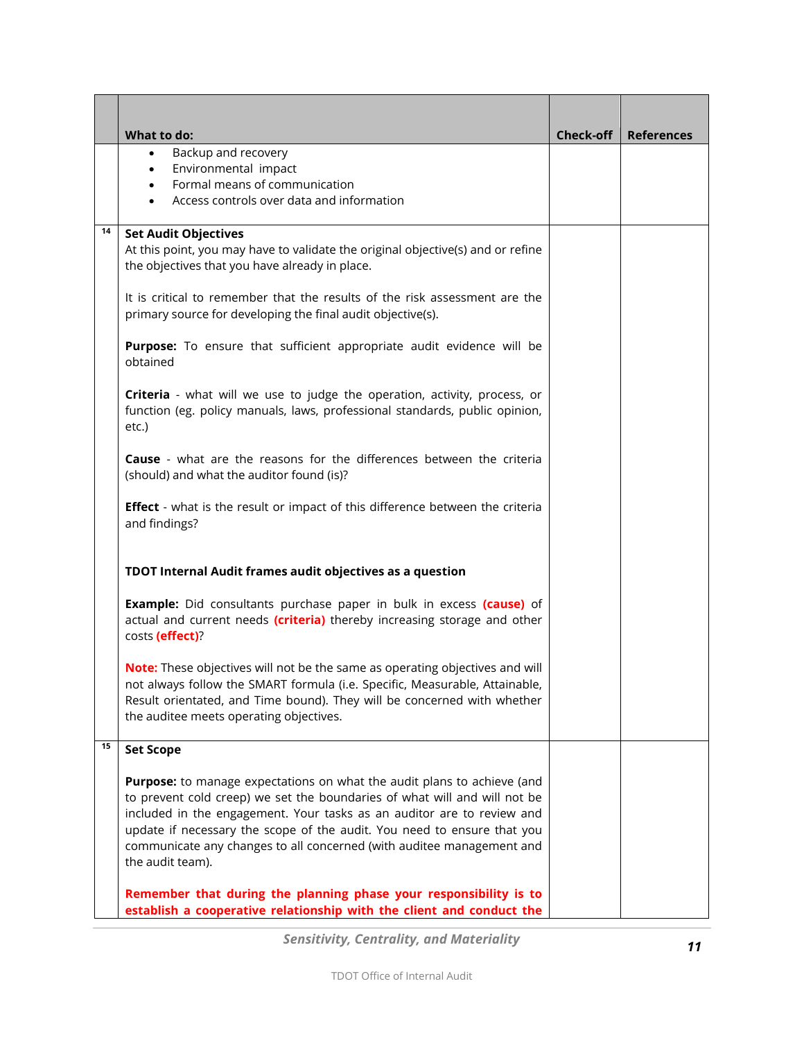|    | What to do:<br>Backup and recovery<br>$\bullet$                                                                                                                                                                                                                                                                                                                                                        | <b>Check-off</b> | <b>References</b> |
|----|--------------------------------------------------------------------------------------------------------------------------------------------------------------------------------------------------------------------------------------------------------------------------------------------------------------------------------------------------------------------------------------------------------|------------------|-------------------|
|    | Environmental impact<br>$\bullet$<br>Formal means of communication<br>$\bullet$                                                                                                                                                                                                                                                                                                                        |                  |                   |
|    | Access controls over data and information<br>$\bullet$                                                                                                                                                                                                                                                                                                                                                 |                  |                   |
| 14 | <b>Set Audit Objectives</b>                                                                                                                                                                                                                                                                                                                                                                            |                  |                   |
|    | At this point, you may have to validate the original objective(s) and or refine<br>the objectives that you have already in place.                                                                                                                                                                                                                                                                      |                  |                   |
|    | It is critical to remember that the results of the risk assessment are the<br>primary source for developing the final audit objective(s).                                                                                                                                                                                                                                                              |                  |                   |
|    | Purpose: To ensure that sufficient appropriate audit evidence will be<br>obtained                                                                                                                                                                                                                                                                                                                      |                  |                   |
|    | Criteria - what will we use to judge the operation, activity, process, or<br>function (eg. policy manuals, laws, professional standards, public opinion,<br>etc.)                                                                                                                                                                                                                                      |                  |                   |
|    | <b>Cause</b> - what are the reasons for the differences between the criteria<br>(should) and what the auditor found (is)?                                                                                                                                                                                                                                                                              |                  |                   |
|    | <b>Effect</b> - what is the result or impact of this difference between the criteria<br>and findings?                                                                                                                                                                                                                                                                                                  |                  |                   |
|    | TDOT Internal Audit frames audit objectives as a question                                                                                                                                                                                                                                                                                                                                              |                  |                   |
|    | <b>Example:</b> Did consultants purchase paper in bulk in excess (cause) of<br>actual and current needs (criteria) thereby increasing storage and other<br>costs (effect)?                                                                                                                                                                                                                             |                  |                   |
|    | Note: These objectives will not be the same as operating objectives and will<br>not always follow the SMART formula (i.e. Specific, Measurable, Attainable,<br>Result orientated, and Time bound). They will be concerned with whether<br>the auditee meets operating objectives.                                                                                                                      |                  |                   |
| 15 | <b>Set Scope</b>                                                                                                                                                                                                                                                                                                                                                                                       |                  |                   |
|    | Purpose: to manage expectations on what the audit plans to achieve (and<br>to prevent cold creep) we set the boundaries of what will and will not be<br>included in the engagement. Your tasks as an auditor are to review and<br>update if necessary the scope of the audit. You need to ensure that you<br>communicate any changes to all concerned (with auditee management and<br>the audit team). |                  |                   |
|    | Remember that during the planning phase your responsibility is to<br>establish a cooperative relationship with the client and conduct the                                                                                                                                                                                                                                                              |                  |                   |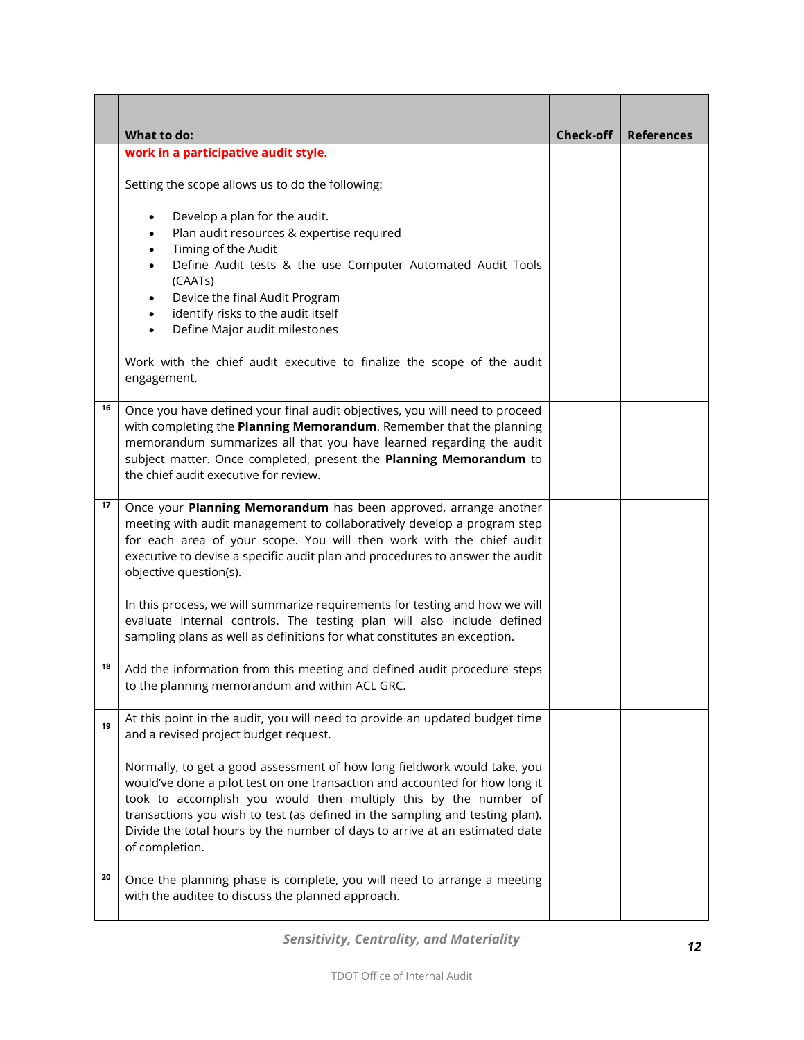|    | What to do:                                                                                                                                                                                                                                                                                                                                                                                                                                                                            | <b>Check-off</b> | <b>References</b> |
|----|----------------------------------------------------------------------------------------------------------------------------------------------------------------------------------------------------------------------------------------------------------------------------------------------------------------------------------------------------------------------------------------------------------------------------------------------------------------------------------------|------------------|-------------------|
|    | work in a participative audit style.                                                                                                                                                                                                                                                                                                                                                                                                                                                   |                  |                   |
|    | Setting the scope allows us to do the following:                                                                                                                                                                                                                                                                                                                                                                                                                                       |                  |                   |
|    | Develop a plan for the audit.<br>$\bullet$<br>Plan audit resources & expertise required<br>$\bullet$<br>Timing of the Audit<br>$\bullet$<br>Define Audit tests & the use Computer Automated Audit Tools<br>$\bullet$<br>(CAATs)<br>Device the final Audit Program<br>$\bullet$<br>identify risks to the audit itself<br>$\bullet$<br>Define Major audit milestones<br>$\bullet$<br>Work with the chief audit executive to finalize the scope of the audit<br>engagement.               |                  |                   |
| 16 | Once you have defined your final audit objectives, you will need to proceed<br>with completing the Planning Memorandum. Remember that the planning<br>memorandum summarizes all that you have learned regarding the audit<br>subject matter. Once completed, present the Planning Memorandum to<br>the chief audit executive for review.                                                                                                                                               |                  |                   |
| 17 | Once your Planning Memorandum has been approved, arrange another<br>meeting with audit management to collaboratively develop a program step<br>for each area of your scope. You will then work with the chief audit<br>executive to devise a specific audit plan and procedures to answer the audit<br>objective question(s).<br>In this process, we will summarize requirements for testing and how we will<br>evaluate internal controls. The testing plan will also include defined |                  |                   |
| 18 | sampling plans as well as definitions for what constitutes an exception.<br>Add the information from this meeting and defined audit procedure steps                                                                                                                                                                                                                                                                                                                                    |                  |                   |
|    | to the planning memorandum and within ACL GRC.                                                                                                                                                                                                                                                                                                                                                                                                                                         |                  |                   |
| 19 | At this point in the audit, you will need to provide an updated budget time<br>and a revised project budget request.                                                                                                                                                                                                                                                                                                                                                                   |                  |                   |
|    | Normally, to get a good assessment of how long fieldwork would take, you<br>would've done a pilot test on one transaction and accounted for how long it<br>took to accomplish you would then multiply this by the number of<br>transactions you wish to test (as defined in the sampling and testing plan).<br>Divide the total hours by the number of days to arrive at an estimated date<br>of completion.                                                                           |                  |                   |
| 20 | Once the planning phase is complete, you will need to arrange a meeting<br>with the auditee to discuss the planned approach.                                                                                                                                                                                                                                                                                                                                                           |                  |                   |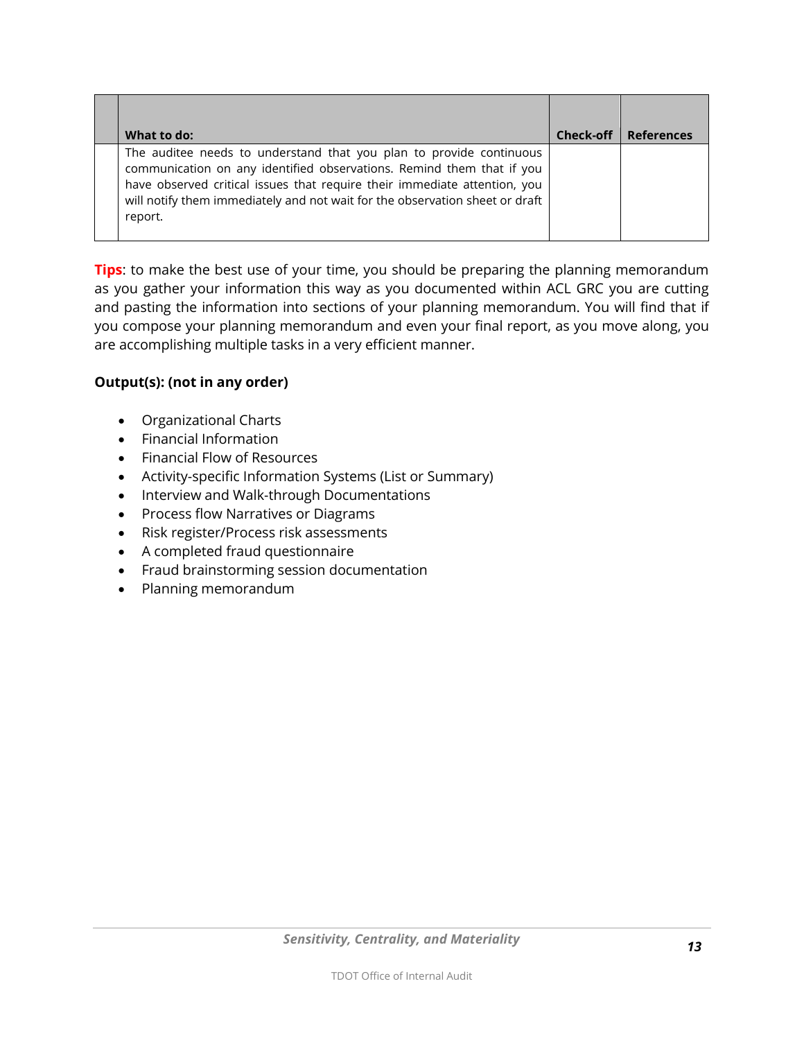| What to do:                                                                                                                                                                                                                                                                                                          | Check-off | <b>References</b> |
|----------------------------------------------------------------------------------------------------------------------------------------------------------------------------------------------------------------------------------------------------------------------------------------------------------------------|-----------|-------------------|
| The auditee needs to understand that you plan to provide continuous<br>communication on any identified observations. Remind them that if you<br>have observed critical issues that require their immediate attention, you<br>will notify them immediately and not wait for the observation sheet or draft<br>report. |           |                   |

**Tips**: to make the best use of your time, you should be preparing the planning memorandum as you gather your information this way as you documented within ACL GRC you are cutting and pasting the information into sections of your planning memorandum. You will find that if you compose your planning memorandum and even your final report, as you move along, you are accomplishing multiple tasks in a very efficient manner.

# **Output(s): (not in any order)**

- Organizational Charts
- Financial Information
- Financial Flow of Resources
- Activity-specific Information Systems (List or Summary)
- Interview and Walk-through Documentations
- Process flow Narratives or Diagrams
- Risk register/Process risk assessments
- A completed fraud questionnaire
- Fraud brainstorming session documentation
- Planning memorandum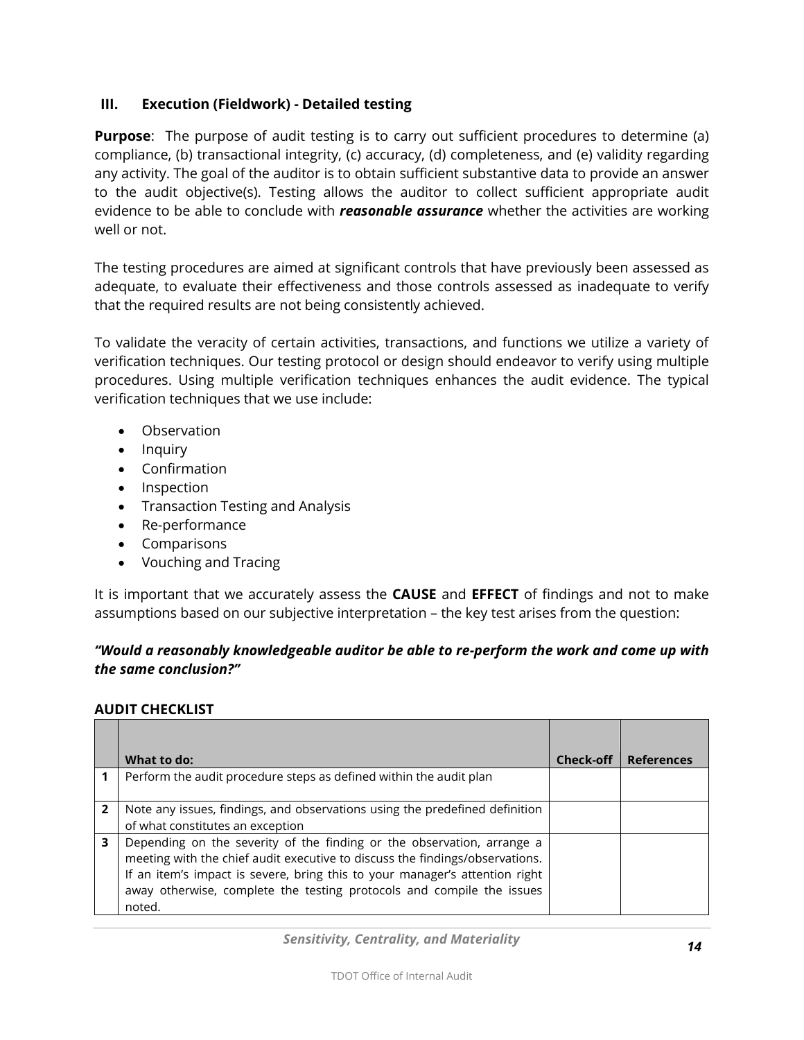### **III. Execution (Fieldwork) - Detailed testing**

**Purpose**: The purpose of audit testing is to carry out sufficient procedures to determine (a) compliance, (b) transactional integrity, (c) accuracy, (d) completeness, and (e) validity regarding any activity. The goal of the auditor is to obtain sufficient substantive data to provide an answer to the audit objective(s). Testing allows the auditor to collect sufficient appropriate audit evidence to be able to conclude with *reasonable assurance* whether the activities are working well or not.

The testing procedures are aimed at significant controls that have previously been assessed as adequate, to evaluate their effectiveness and those controls assessed as inadequate to verify that the required results are not being consistently achieved.

To validate the veracity of certain activities, transactions, and functions we utilize a variety of verification techniques. Our testing protocol or design should endeavor to verify using multiple procedures. Using multiple verification techniques enhances the audit evidence. The typical verification techniques that we use include:

- Observation
- Inquiry
- Confirmation
- Inspection
- Transaction Testing and Analysis
- Re-performance
- Comparisons
- Vouching and Tracing

It is important that we accurately assess the **CAUSE** and **EFFECT** of findings and not to make assumptions based on our subjective interpretation – the key test arises from the question:

# *"Would a reasonably knowledgeable auditor be able to re-perform the work and come up with the same conclusion?"*

#### **AUDIT CHECKLIST**

|              | What to do:                                                                  | <b>Check-off</b> | <b>References</b> |
|--------------|------------------------------------------------------------------------------|------------------|-------------------|
|              | Perform the audit procedure steps as defined within the audit plan           |                  |                   |
|              |                                                                              |                  |                   |
| $\mathbf{2}$ | Note any issues, findings, and observations using the predefined definition  |                  |                   |
|              | of what constitutes an exception                                             |                  |                   |
| 3            | Depending on the severity of the finding or the observation, arrange a       |                  |                   |
|              | meeting with the chief audit executive to discuss the findings/observations. |                  |                   |
|              | If an item's impact is severe, bring this to your manager's attention right  |                  |                   |
|              | away otherwise, complete the testing protocols and compile the issues        |                  |                   |
|              | noted.                                                                       |                  |                   |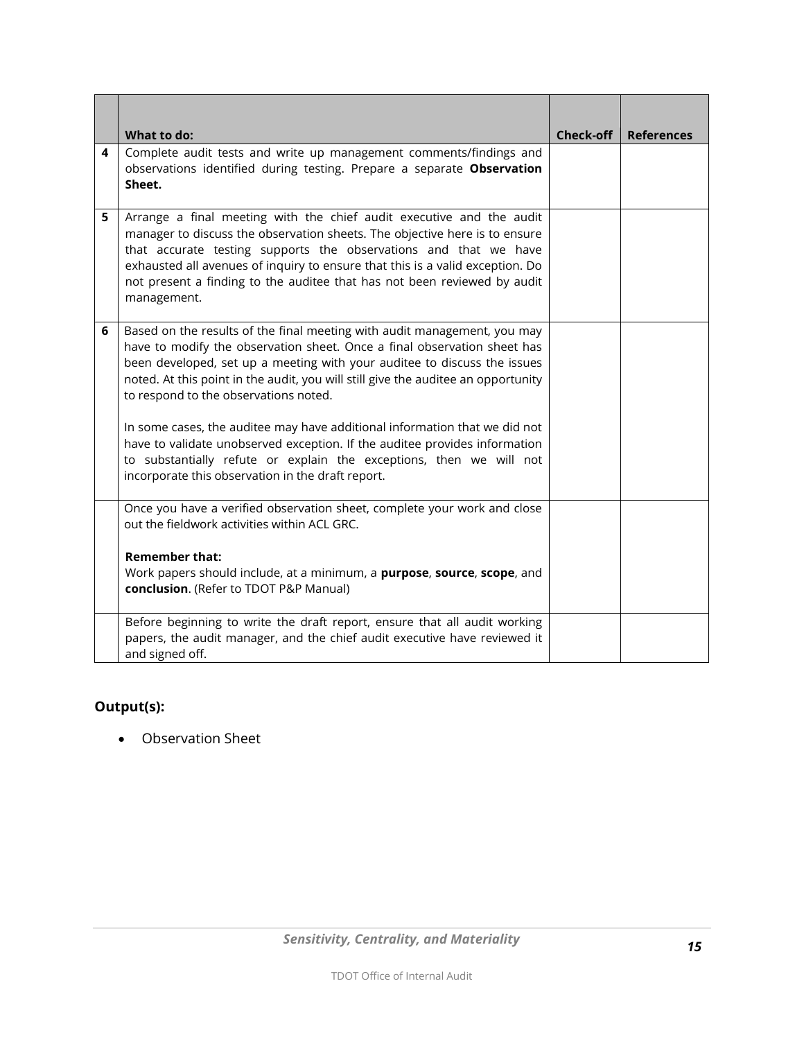| 4 | What to do:<br>Complete audit tests and write up management comments/findings and<br>observations identified during testing. Prepare a separate Observation<br>Sheet.                                                                                                                                                                                                                                                                                                                                                                                                                                                                                  | <b>Check-off</b> | <b>References</b> |
|---|--------------------------------------------------------------------------------------------------------------------------------------------------------------------------------------------------------------------------------------------------------------------------------------------------------------------------------------------------------------------------------------------------------------------------------------------------------------------------------------------------------------------------------------------------------------------------------------------------------------------------------------------------------|------------------|-------------------|
| 5 | Arrange a final meeting with the chief audit executive and the audit<br>manager to discuss the observation sheets. The objective here is to ensure<br>that accurate testing supports the observations and that we have<br>exhausted all avenues of inquiry to ensure that this is a valid exception. Do<br>not present a finding to the auditee that has not been reviewed by audit<br>management.                                                                                                                                                                                                                                                     |                  |                   |
| 6 | Based on the results of the final meeting with audit management, you may<br>have to modify the observation sheet. Once a final observation sheet has<br>been developed, set up a meeting with your auditee to discuss the issues<br>noted. At this point in the audit, you will still give the auditee an opportunity<br>to respond to the observations noted.<br>In some cases, the auditee may have additional information that we did not<br>have to validate unobserved exception. If the auditee provides information<br>to substantially refute or explain the exceptions, then we will not<br>incorporate this observation in the draft report. |                  |                   |
|   | Once you have a verified observation sheet, complete your work and close<br>out the fieldwork activities within ACL GRC.<br><b>Remember that:</b><br>Work papers should include, at a minimum, a purpose, source, scope, and<br>conclusion. (Refer to TDOT P&P Manual)                                                                                                                                                                                                                                                                                                                                                                                 |                  |                   |
|   | Before beginning to write the draft report, ensure that all audit working<br>papers, the audit manager, and the chief audit executive have reviewed it<br>and signed off.                                                                                                                                                                                                                                                                                                                                                                                                                                                                              |                  |                   |

# **Output(s):**

Observation Sheet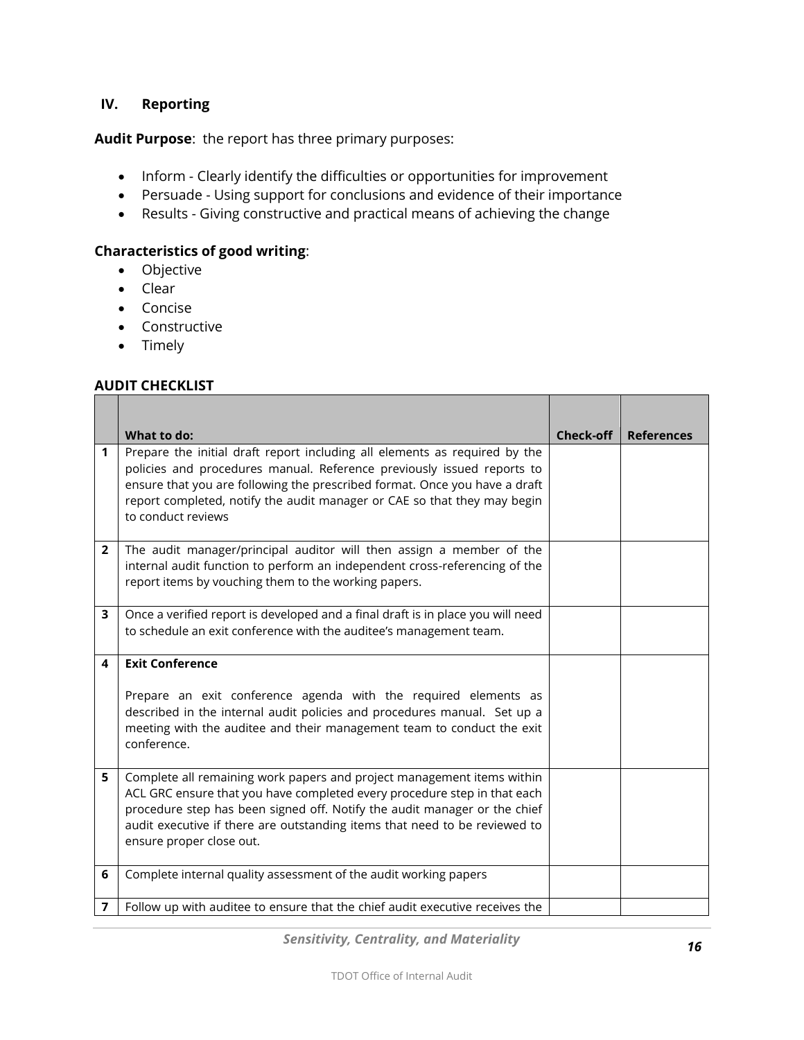#### **IV. Reporting**

**Audit Purpose**: the report has three primary purposes:

- Inform Clearly identify the difficulties or opportunities for improvement
- Persuade Using support for conclusions and evidence of their importance
- Results Giving constructive and practical means of achieving the change

#### **Characteristics of good writing**:

- Objective
- Clear
- Concise
- **•** Constructive
- Timely

#### **AUDIT CHECKLIST**

|                | What to do:                                                                                                                                                                                                                                                                                                                               | <b>Check-off</b> | <b>References</b> |
|----------------|-------------------------------------------------------------------------------------------------------------------------------------------------------------------------------------------------------------------------------------------------------------------------------------------------------------------------------------------|------------------|-------------------|
| $\mathbf{1}$   | Prepare the initial draft report including all elements as required by the<br>policies and procedures manual. Reference previously issued reports to<br>ensure that you are following the prescribed format. Once you have a draft<br>report completed, notify the audit manager or CAE so that they may begin<br>to conduct reviews      |                  |                   |
| $\overline{2}$ | The audit manager/principal auditor will then assign a member of the<br>internal audit function to perform an independent cross-referencing of the<br>report items by vouching them to the working papers.                                                                                                                                |                  |                   |
| 3              | Once a verified report is developed and a final draft is in place you will need<br>to schedule an exit conference with the auditee's management team.                                                                                                                                                                                     |                  |                   |
| 4              | <b>Exit Conference</b>                                                                                                                                                                                                                                                                                                                    |                  |                   |
|                | Prepare an exit conference agenda with the required elements as<br>described in the internal audit policies and procedures manual. Set up a<br>meeting with the auditee and their management team to conduct the exit<br>conference.                                                                                                      |                  |                   |
| 5              | Complete all remaining work papers and project management items within<br>ACL GRC ensure that you have completed every procedure step in that each<br>procedure step has been signed off. Notify the audit manager or the chief<br>audit executive if there are outstanding items that need to be reviewed to<br>ensure proper close out. |                  |                   |
| 6              | Complete internal quality assessment of the audit working papers                                                                                                                                                                                                                                                                          |                  |                   |
| 7              | Follow up with auditee to ensure that the chief audit executive receives the                                                                                                                                                                                                                                                              |                  |                   |